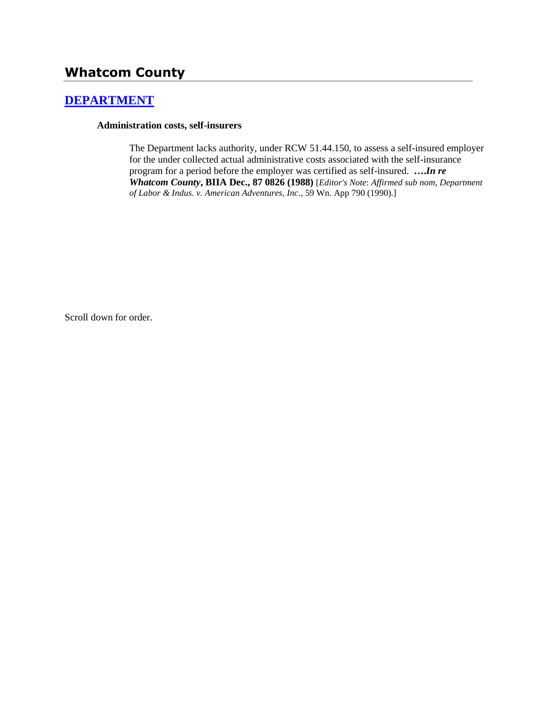# **Whatcom County**

# **[DEPARTMENT](http://www.biia.wa.gov/SDSubjectIndex.html#DEPARTMENT)**

#### **Administration costs, self-insurers**

The Department lacks authority, under RCW 51.44.150, to assess a self-insured employer for the under collected actual administrative costs associated with the self-insurance program for a period before the employer was certified as self-insured. **….***In re Whatcom County***, BIIA Dec., 87 0826 (1988)** [*Editor's Note*: *Affirmed sub nom*, *Department of Labor & Indus. v. American Adventures, Inc*., 59 Wn. App 790 (1990).]

Scroll down for order.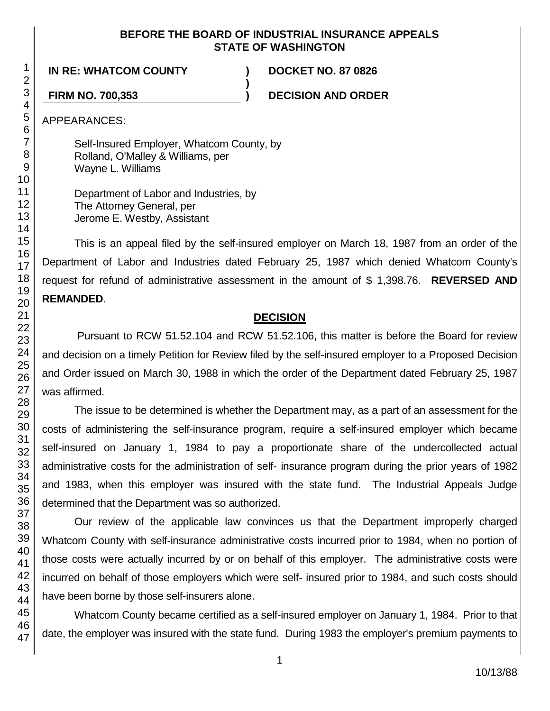#### **BEFORE THE BOARD OF INDUSTRIAL INSURANCE APPEALS STATE OF WASHINGTON**

**)**

**IN RE: WHATCOM COUNTY ) DOCKET NO. 87 0826**

**FIRM NO. 700,353 ) DECISION AND ORDER**

APPEARANCES:

Self-Insured Employer, Whatcom County, by Rolland, O'Malley & Williams, per Wayne L. Williams

Department of Labor and Industries, by The Attorney General, per Jerome E. Westby, Assistant

This is an appeal filed by the self-insured employer on March 18, 1987 from an order of the Department of Labor and Industries dated February 25, 1987 which denied Whatcom County's request for refund of administrative assessment in the amount of \$ 1,398.76. **REVERSED AND REMANDED**.

## **DECISION**

Pursuant to RCW 51.52.104 and RCW 51.52.106, this matter is before the Board for review and decision on a timely Petition for Review filed by the self-insured employer to a Proposed Decision and Order issued on March 30, 1988 in which the order of the Department dated February 25, 1987 was affirmed.

The issue to be determined is whether the Department may, as a part of an assessment for the costs of administering the self-insurance program, require a self-insured employer which became self-insured on January 1, 1984 to pay a proportionate share of the undercollected actual administrative costs for the administration of self- insurance program during the prior years of 1982 and 1983, when this employer was insured with the state fund. The Industrial Appeals Judge determined that the Department was so authorized.

Our review of the applicable law convinces us that the Department improperly charged Whatcom County with self-insurance administrative costs incurred prior to 1984, when no portion of those costs were actually incurred by or on behalf of this employer. The administrative costs were incurred on behalf of those employers which were self- insured prior to 1984, and such costs should have been borne by those self-insurers alone.

Whatcom County became certified as a self-insured employer on January 1, 1984. Prior to that date, the employer was insured with the state fund. During 1983 the employer's premium payments to

1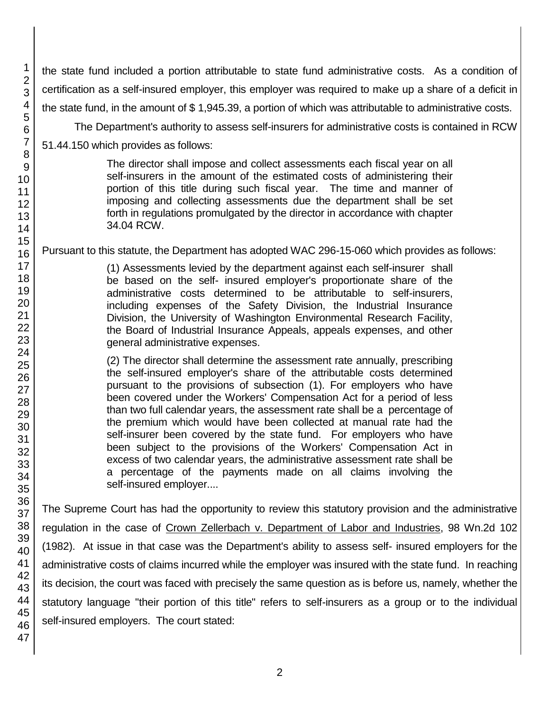the state fund included a portion attributable to state fund administrative costs. As a condition of certification as a self-insured employer, this employer was required to make up a share of a deficit in the state fund, in the amount of \$ 1,945.39, a portion of which was attributable to administrative costs.

The Department's authority to assess self-insurers for administrative costs is contained in RCW

51.44.150 which provides as follows:

The director shall impose and collect assessments each fiscal year on all self-insurers in the amount of the estimated costs of administering their portion of this title during such fiscal year. The time and manner of imposing and collecting assessments due the department shall be set forth in regulations promulgated by the director in accordance with chapter 34.04 RCW.

## Pursuant to this statute, the Department has adopted WAC 296-15-060 which provides as follows:

(1) Assessments levied by the department against each self-insurer shall be based on the self- insured employer's proportionate share of the administrative costs determined to be attributable to self-insurers, including expenses of the Safety Division, the Industrial Insurance Division, the University of Washington Environmental Research Facility, the Board of Industrial Insurance Appeals, appeals expenses, and other general administrative expenses.

(2) The director shall determine the assessment rate annually, prescribing the self-insured employer's share of the attributable costs determined pursuant to the provisions of subsection (1). For employers who have been covered under the Workers' Compensation Act for a period of less than two full calendar years, the assessment rate shall be a percentage of the premium which would have been collected at manual rate had the self-insurer been covered by the state fund. For employers who have been subject to the provisions of the Workers' Compensation Act in excess of two calendar years, the administrative assessment rate shall be a percentage of the payments made on all claims involving the self-insured employer....

The Supreme Court has had the opportunity to review this statutory provision and the administrative regulation in the case of Crown Zellerbach v. Department of Labor and Industries, 98 Wn.2d 102 (1982). At issue in that case was the Department's ability to assess self- insured employers for the administrative costs of claims incurred while the employer was insured with the state fund. In reaching its decision, the court was faced with precisely the same question as is before us, namely, whether the statutory language "their portion of this title" refers to self-insurers as a group or to the individual self-insured employers. The court stated:

1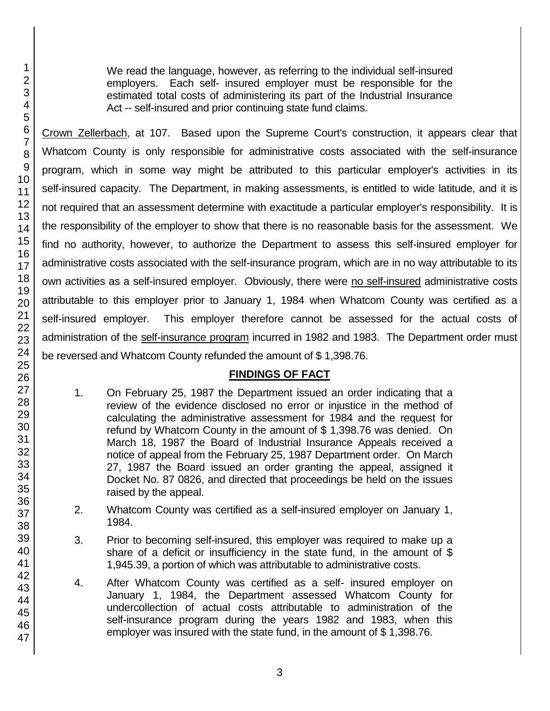We read the language, however, as referring to the individual self-insured employers. Each self- insured employer must be responsible for the estimated total costs of administering its part of the Industrial Insurance Act -- self-insured and prior continuing state fund claims.

Crown Zellerbach, at 107. Based upon the Supreme Court's construction, it appears clear that Whatcom County is only responsible for administrative costs associated with the self-insurance program, which in some way might be attributed to this particular employer's activities in its self-insured capacity. The Department, in making assessments, is entitled to wide latitude, and it is not required that an assessment determine with exactitude a particular employer's responsibility. It is the responsibility of the employer to show that there is no reasonable basis for the assessment. We find no authority, however, to authorize the Department to assess this self-insured employer for administrative costs associated with the self-insurance program, which are in no way attributable to its own activities as a self-insured employer. Obviously, there were no self-insured administrative costs attributable to this employer prior to January 1, 1984 when Whatcom County was certified as a self-insured employer. This employer therefore cannot be assessed for the actual costs of administration of the self-insurance program incurred in 1982 and 1983. The Department order must be reversed and Whatcom County refunded the amount of \$ 1,398.76.

# **FINDINGS OF FACT**

- 1. On February 25, 1987 the Department issued an order indicating that a review of the evidence disclosed no error or injustice in the method of calculating the administrative assessment for 1984 and the request for refund by Whatcom County in the amount of \$ 1,398.76 was denied. On March 18, 1987 the Board of Industrial Insurance Appeals received a notice of appeal from the February 25, 1987 Department order. On March 27, 1987 the Board issued an order granting the appeal, assigned it Docket No. 87 0826, and directed that proceedings be held on the issues raised by the appeal.
- 2. Whatcom County was certified as a self-insured employer on January 1, 1984.
- 3. Prior to becoming self-insured, this employer was required to make up a share of a deficit or insufficiency in the state fund, in the amount of \$ 1,945.39, a portion of which was attributable to administrative costs.
- 4. After Whatcom County was certified as a self- insured employer on January 1, 1984, the Department assessed Whatcom County for undercollection of actual costs attributable to administration of the self-insurance program during the years 1982 and 1983, when this employer was insured with the state fund, in the amount of \$ 1,398.76.